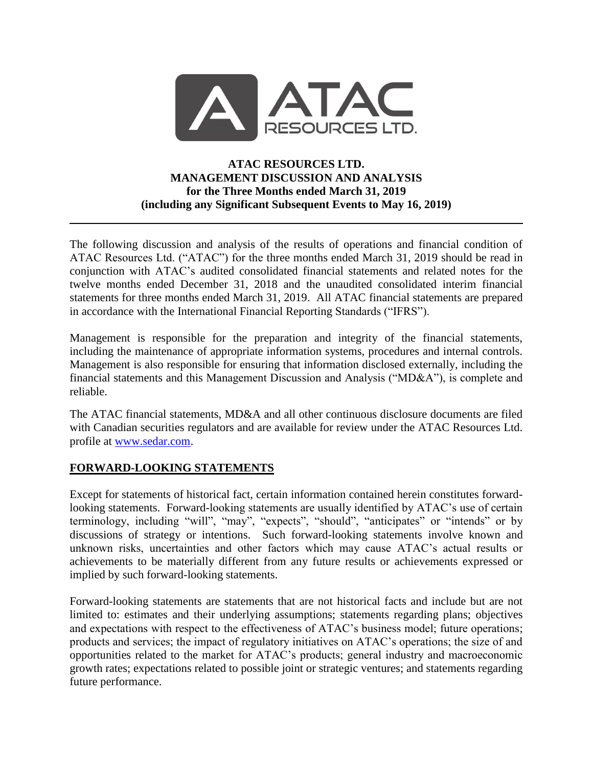

# **ATAC RESOURCES LTD. MANAGEMENT DISCUSSION AND ANALYSIS for the Three Months ended March 31, 2019 (including any Significant Subsequent Events to May 16, 2019)**

The following discussion and analysis of the results of operations and financial condition of ATAC Resources Ltd. ("ATAC") for the three months ended March 31, 2019 should be read in conjunction with ATAC's audited consolidated financial statements and related notes for the twelve months ended December 31, 2018 and the unaudited consolidated interim financial statements for three months ended March 31, 2019. All ATAC financial statements are prepared in accordance with the International Financial Reporting Standards ("IFRS").

Management is responsible for the preparation and integrity of the financial statements, including the maintenance of appropriate information systems, procedures and internal controls. Management is also responsible for ensuring that information disclosed externally, including the financial statements and this Management Discussion and Analysis ("MD&A"), is complete and reliable.

The ATAC financial statements, MD&A and all other continuous disclosure documents are filed with Canadian securities regulators and are available for review under the ATAC Resources Ltd. profile at [www.sedar.com.](http://www.sedar.com/)

# **FORWARD-LOOKING STATEMENTS**

Except for statements of historical fact, certain information contained herein constitutes forwardlooking statements. Forward-looking statements are usually identified by ATAC's use of certain terminology, including "will", "may", "expects", "should", "anticipates" or "intends" or by discussions of strategy or intentions. Such forward-looking statements involve known and unknown risks, uncertainties and other factors which may cause ATAC's actual results or achievements to be materially different from any future results or achievements expressed or implied by such forward-looking statements.

Forward-looking statements are statements that are not historical facts and include but are not limited to: estimates and their underlying assumptions; statements regarding plans; objectives and expectations with respect to the effectiveness of ATAC's business model; future operations; products and services; the impact of regulatory initiatives on ATAC's operations; the size of and opportunities related to the market for ATAC's products; general industry and macroeconomic growth rates; expectations related to possible joint or strategic ventures; and statements regarding future performance.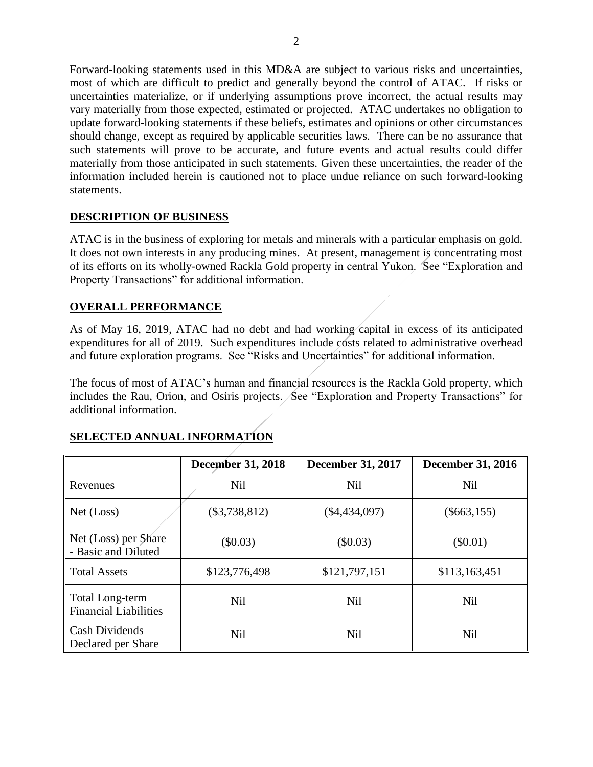Forward-looking statements used in this MD&A are subject to various risks and uncertainties, most of which are difficult to predict and generally beyond the control of ATAC. If risks or uncertainties materialize, or if underlying assumptions prove incorrect, the actual results may vary materially from those expected, estimated or projected. ATAC undertakes no obligation to update forward-looking statements if these beliefs, estimates and opinions or other circumstances should change, except as required by applicable securities laws. There can be no assurance that such statements will prove to be accurate, and future events and actual results could differ materially from those anticipated in such statements. Given these uncertainties, the reader of the information included herein is cautioned not to place undue reliance on such forward-looking statements.

# **DESCRIPTION OF BUSINESS**

ATAC is in the business of exploring for metals and minerals with a particular emphasis on gold. It does not own interests in any producing mines. At present, management is concentrating most of its efforts on its wholly-owned Rackla Gold property in central Yukon. See "Exploration and Property Transactions" for additional information.

# **OVERALL PERFORMANCE**

As of May 16, 2019, ATAC had no debt and had working capital in excess of its anticipated expenditures for all of 2019. Such expenditures include costs related to administrative overhead and future exploration programs. See "Risks and Uncertainties" for additional information.

The focus of most of ATAC's human and financial resources is the Rackla Gold property, which includes the Rau, Orion, and Osiris projects. See "Exploration and Property Transactions" for additional information.

|                                                 | <b>December 31, 2018</b> | <b>December 31, 2017</b> | <b>December 31, 2016</b> |
|-------------------------------------------------|--------------------------|--------------------------|--------------------------|
| Revenues                                        | <b>Nil</b>               | <b>Nil</b>               | <b>Nil</b>               |
| Net (Loss)                                      | $(\$3,738,812)$          | $(\$4,434,097)$          | $(\$663,155)$            |
| Net (Loss) per Share<br>- Basic and Diluted     | $(\$0.03)$               | $(\$0.03)$               | $(\$0.01)$               |
| <b>Total Assets</b>                             | \$123,776,498            | \$121,797,151            | \$113,163,451            |
| Total Long-term<br><b>Financial Liabilities</b> | <b>Nil</b>               | <b>Nil</b>               | Nil                      |
| <b>Cash Dividends</b><br>Declared per Share     | <b>Nil</b>               | Nil                      | <b>Nil</b>               |

# **SELECTED ANNUAL INFORMATION**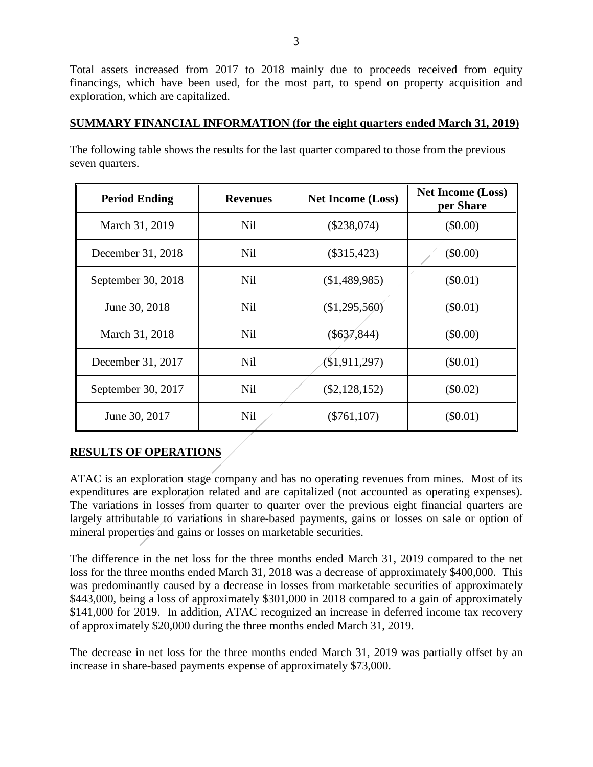Total assets increased from 2017 to 2018 mainly due to proceeds received from equity financings, which have been used, for the most part, to spend on property acquisition and exploration, which are capitalized.

# **SUMMARY FINANCIAL INFORMATION (for the eight quarters ended March 31, 2019)**

The following table shows the results for the last quarter compared to those from the previous seven quarters.

| <b>Period Ending</b> | <b>Revenues</b> | <b>Net Income (Loss)</b> | <b>Net Income (Loss)</b><br>per Share |
|----------------------|-----------------|--------------------------|---------------------------------------|
| March 31, 2019       | <b>Nil</b>      | $(\$238,074)$            | $(\$0.00)$                            |
| December 31, 2018    | <b>Nil</b>      | $(\$315,423)$            | $(\$0.00)$                            |
| September 30, 2018   | Nil             | (\$1,489,985)            | $(\$0.01)$                            |
| June 30, 2018        | <b>Nil</b>      | (\$1,295,560)            | $(\$0.01)$                            |
| March 31, 2018       | <b>Nil</b>      | $(\$637,844)$            | $(\$0.00)$                            |
| December 31, 2017    | N <sub>il</sub> | $(\$1,911,297)$          | $(\$0.01)$                            |
| September 30, 2017   | <b>Nil</b>      | $(\$2,128,152)$          | $(\$0.02)$                            |
| June 30, 2017        | <b>Nil</b>      | $(\$761, 107)$           | $(\$0.01)$                            |

# **RESULTS OF OPERATIONS**

ATAC is an exploration stage company and has no operating revenues from mines. Most of its expenditures are exploration related and are capitalized (not accounted as operating expenses). The variations in losses from quarter to quarter over the previous eight financial quarters are largely attributable to variations in share-based payments, gains or losses on sale or option of mineral properties and gains or losses on marketable securities.

The difference in the net loss for the three months ended March 31, 2019 compared to the net loss for the three months ended March 31, 2018 was a decrease of approximately \$400,000. This was predominantly caused by a decrease in losses from marketable securities of approximately \$443,000, being a loss of approximately \$301,000 in 2018 compared to a gain of approximately \$141,000 for 2019. In addition, ATAC recognized an increase in deferred income tax recovery of approximately \$20,000 during the three months ended March 31, 2019.

The decrease in net loss for the three months ended March 31, 2019 was partially offset by an increase in share-based payments expense of approximately \$73,000.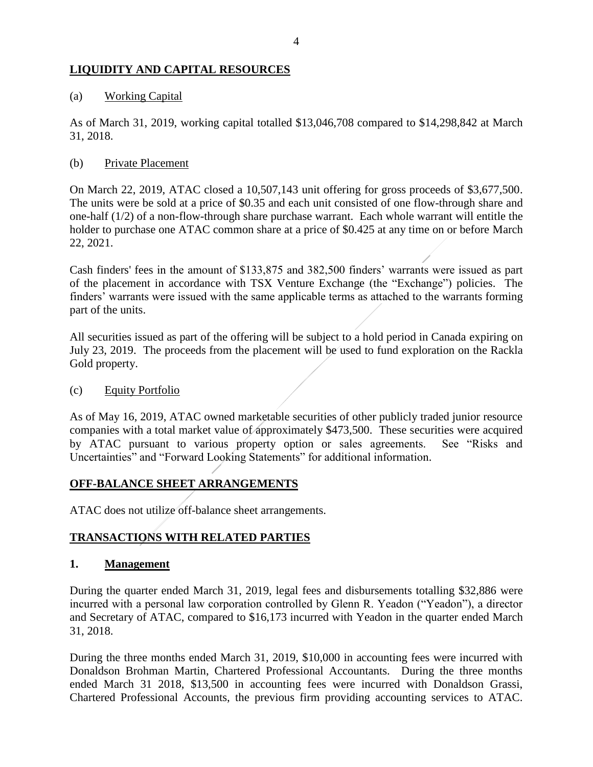# **LIQUIDITY AND CAPITAL RESOURCES**

### (a) Working Capital

As of March 31, 2019, working capital totalled \$13,046,708 compared to \$14,298,842 at March 31, 2018.

### (b) Private Placement

On March 22, 2019, ATAC closed a 10,507,143 unit offering for gross proceeds of \$3,677,500. The units were be sold at a price of \$0.35 and each unit consisted of one flow-through share and one-half (1/2) of a non-flow-through share purchase warrant. Each whole warrant will entitle the holder to purchase one ATAC common share at a price of \$0.425 at any time on or before March 22, 2021.

Cash finders' fees in the amount of \$133,875 and 382,500 finders' warrants were issued as part of the placement in accordance with TSX Venture Exchange (the "Exchange") policies. The finders' warrants were issued with the same applicable terms as attached to the warrants forming part of the units.

All securities issued as part of the offering will be subject to a hold period in Canada expiring on July 23, 2019. The proceeds from the placement will be used to fund exploration on the Rackla Gold property.

#### (c) Equity Portfolio

As of May 16, 2019, ATAC owned marketable securities of other publicly traded junior resource companies with a total market value of approximately \$473,500. These securities were acquired by ATAC pursuant to various property option or sales agreements. See "Risks and Uncertainties" and "Forward Looking Statements" for additional information.

# **OFF-BALANCE SHEET ARRANGEMENTS**

ATAC does not utilize off-balance sheet arrangements.

# **TRANSACTIONS WITH RELATED PARTIES**

#### **1. Management**

During the quarter ended March 31, 2019, legal fees and disbursements totalling \$32,886 were incurred with a personal law corporation controlled by Glenn R. Yeadon ("Yeadon"), a director and Secretary of ATAC, compared to \$16,173 incurred with Yeadon in the quarter ended March 31, 2018.

During the three months ended March 31, 2019, \$10,000 in accounting fees were incurred with Donaldson Brohman Martin, Chartered Professional Accountants. During the three months ended March 31 2018, \$13,500 in accounting fees were incurred with Donaldson Grassi, Chartered Professional Accounts, the previous firm providing accounting services to ATAC.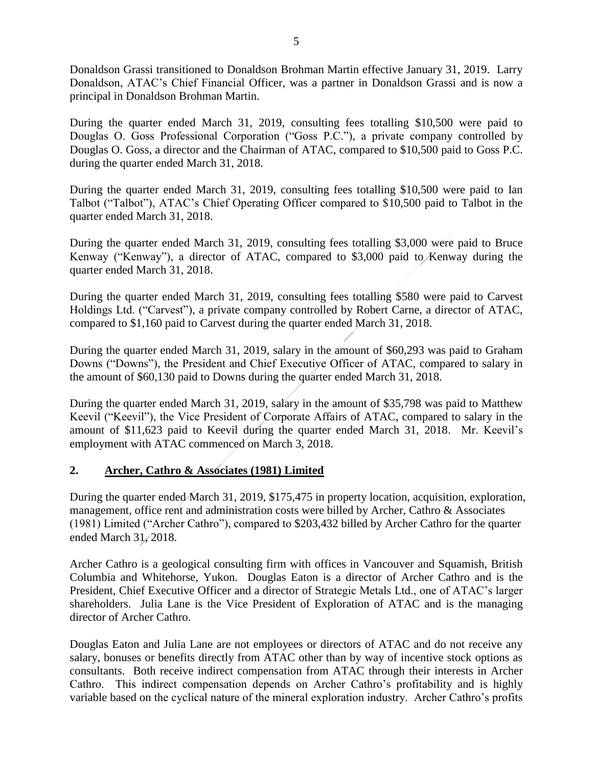Donaldson Grassi transitioned to Donaldson Brohman Martin effective January 31, 2019. Larry Donaldson, ATAC's Chief Financial Officer, was a partner in Donaldson Grassi and is now a principal in Donaldson Brohman Martin.

During the quarter ended March 31, 2019, consulting fees totalling \$10,500 were paid to Douglas O. Goss Professional Corporation ("Goss P.C."), a private company controlled by Douglas O. Goss, a director and the Chairman of ATAC, compared to \$10,500 paid to Goss P.C. during the quarter ended March 31, 2018.

During the quarter ended March 31, 2019, consulting fees totalling \$10,500 were paid to Ian Talbot ("Talbot"), ATAC's Chief Operating Officer compared to \$10,500 paid to Talbot in the quarter ended March 31, 2018.

During the quarter ended March 31, 2019, consulting fees totalling \$3,000 were paid to Bruce Kenway ("Kenway"), a director of ATAC, compared to \$3,000 paid to Kenway during the quarter ended March 31, 2018.

During the quarter ended March 31, 2019, consulting fees totalling \$580 were paid to Carvest Holdings Ltd. ("Carvest"), a private company controlled by Robert Carne, a director of ATAC, compared to \$1,160 paid to Carvest during the quarter ended March 31, 2018.

During the quarter ended March 31, 2019, salary in the amount of \$60,293 was paid to Graham Downs ("Downs"), the President and Chief Executive Officer of ATAC, compared to salary in the amount of \$60,130 paid to Downs during the quarter ended March 31, 2018.

During the quarter ended March 31, 2019, salary in the amount of \$35,798 was paid to Matthew Keevil ("Keevil"), the Vice President of Corporate Affairs of ATAC, compared to salary in the amount of \$11,623 paid to Keevil during the quarter ended March 31, 2018. Mr. Keevil's employment with ATAC commenced on March 3, 2018.

# **2. Archer, Cathro & Associates (1981) Limited**

During the quarter ended March 31, 2019, \$175,475 in property location, acquisition, exploration, management, office rent and administration costs were billed by Archer, Cathro & Associates (1981) Limited ("Archer Cathro"), compared to \$203,432 billed by Archer Cathro for the quarter ended March 31, 2018.

Archer Cathro is a geological consulting firm with offices in Vancouver and Squamish, British Columbia and Whitehorse, Yukon. Douglas Eaton is a director of Archer Cathro and is the President, Chief Executive Officer and a director of Strategic Metals Ltd., one of ATAC's larger shareholders. Julia Lane is the Vice President of Exploration of ATAC and is the managing director of Archer Cathro.

Douglas Eaton and Julia Lane are not employees or directors of ATAC and do not receive any salary, bonuses or benefits directly from ATAC other than by way of incentive stock options as consultants. Both receive indirect compensation from ATAC through their interests in Archer Cathro. This indirect compensation depends on Archer Cathro's profitability and is highly variable based on the cyclical nature of the mineral exploration industry. Archer Cathro's profits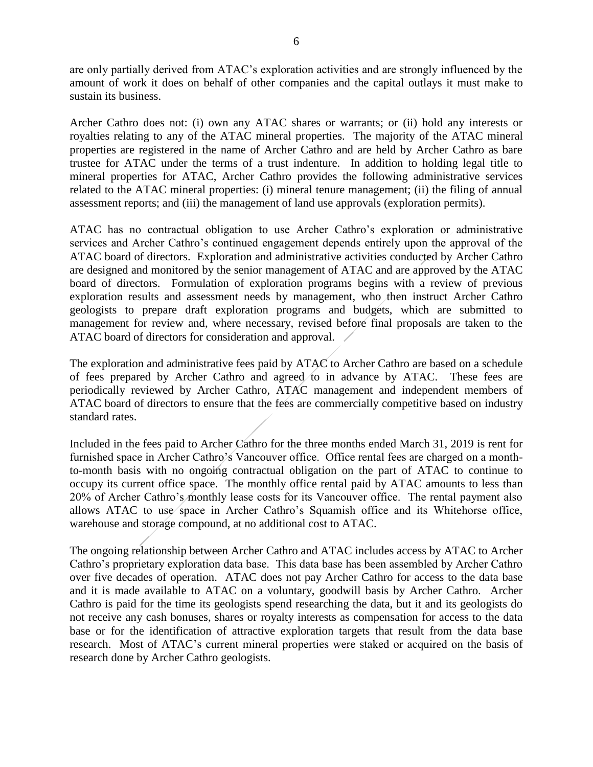are only partially derived from ATAC's exploration activities and are strongly influenced by the amount of work it does on behalf of other companies and the capital outlays it must make to sustain its business.

Archer Cathro does not: (i) own any ATAC shares or warrants; or (ii) hold any interests or royalties relating to any of the ATAC mineral properties. The majority of the ATAC mineral properties are registered in the name of Archer Cathro and are held by Archer Cathro as bare trustee for ATAC under the terms of a trust indenture. In addition to holding legal title to mineral properties for ATAC, Archer Cathro provides the following administrative services related to the ATAC mineral properties: (i) mineral tenure management; (ii) the filing of annual assessment reports; and (iii) the management of land use approvals (exploration permits).

ATAC has no contractual obligation to use Archer Cathro's exploration or administrative services and Archer Cathro's continued engagement depends entirely upon the approval of the ATAC board of directors. Exploration and administrative activities conducted by Archer Cathro are designed and monitored by the senior management of ATAC and are approved by the ATAC board of directors. Formulation of exploration programs begins with a review of previous exploration results and assessment needs by management, who then instruct Archer Cathro geologists to prepare draft exploration programs and budgets, which are submitted to management for review and, where necessary, revised before final proposals are taken to the ATAC board of directors for consideration and approval.

The exploration and administrative fees paid by ATAC to Archer Cathro are based on a schedule of fees prepared by Archer Cathro and agreed to in advance by ATAC. These fees are periodically reviewed by Archer Cathro, ATAC management and independent members of ATAC board of directors to ensure that the fees are commercially competitive based on industry standard rates.

Included in the fees paid to Archer Cathro for the three months ended March 31, 2019 is rent for furnished space in Archer Cathro's Vancouver office. Office rental fees are charged on a monthto-month basis with no ongoing contractual obligation on the part of ATAC to continue to occupy its current office space. The monthly office rental paid by ATAC amounts to less than 20% of Archer Cathro's monthly lease costs for its Vancouver office. The rental payment also allows ATAC to use space in Archer Cathro's Squamish office and its Whitehorse office, warehouse and storage compound, at no additional cost to ATAC.

The ongoing relationship between Archer Cathro and ATAC includes access by ATAC to Archer Cathro's proprietary exploration data base. This data base has been assembled by Archer Cathro over five decades of operation. ATAC does not pay Archer Cathro for access to the data base and it is made available to ATAC on a voluntary, goodwill basis by Archer Cathro. Archer Cathro is paid for the time its geologists spend researching the data, but it and its geologists do not receive any cash bonuses, shares or royalty interests as compensation for access to the data base or for the identification of attractive exploration targets that result from the data base research. Most of ATAC's current mineral properties were staked or acquired on the basis of research done by Archer Cathro geologists.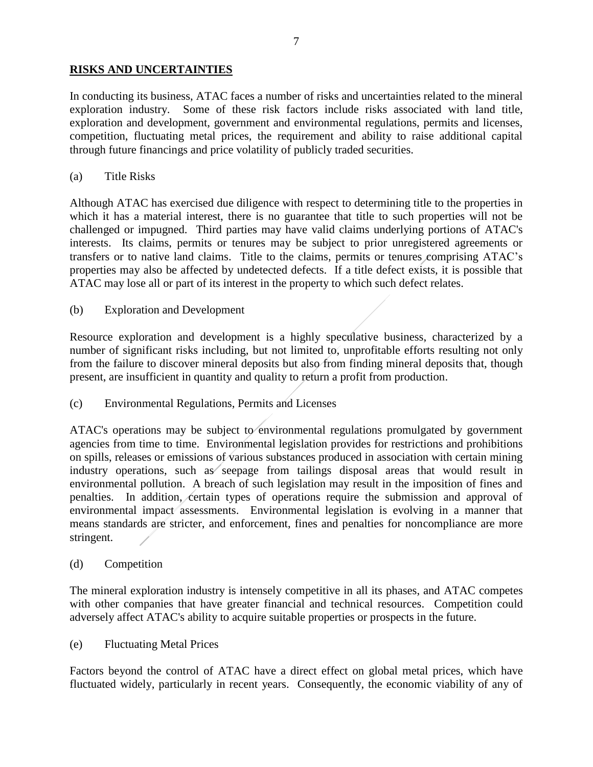# **RISKS AND UNCERTAINTIES**

In conducting its business, ATAC faces a number of risks and uncertainties related to the mineral exploration industry. Some of these risk factors include risks associated with land title, exploration and development, government and environmental regulations, permits and licenses, competition, fluctuating metal prices, the requirement and ability to raise additional capital through future financings and price volatility of publicly traded securities.

### (a) Title Risks

Although ATAC has exercised due diligence with respect to determining title to the properties in which it has a material interest, there is no guarantee that title to such properties will not be challenged or impugned. Third parties may have valid claims underlying portions of ATAC's interests. Its claims, permits or tenures may be subject to prior unregistered agreements or transfers or to native land claims. Title to the claims, permits or tenures comprising ATAC's properties may also be affected by undetected defects. If a title defect exists, it is possible that ATAC may lose all or part of its interest in the property to which such defect relates.

### (b) Exploration and Development

Resource exploration and development is a highly speculative business, characterized by a number of significant risks including, but not limited to, unprofitable efforts resulting not only from the failure to discover mineral deposits but also from finding mineral deposits that, though present, are insufficient in quantity and quality to return a profit from production.

# (c) Environmental Regulations, Permits and Licenses

ATAC's operations may be subject to environmental regulations promulgated by government agencies from time to time. Environmental legislation provides for restrictions and prohibitions on spills, releases or emissions of various substances produced in association with certain mining industry operations, such as seepage from tailings disposal areas that would result in environmental pollution. A breach of such legislation may result in the imposition of fines and penalties. In addition, certain types of operations require the submission and approval of environmental impact assessments. Environmental legislation is evolving in a manner that means standards are stricter, and enforcement, fines and penalties for noncompliance are more stringent.

#### (d) Competition

The mineral exploration industry is intensely competitive in all its phases, and ATAC competes with other companies that have greater financial and technical resources. Competition could adversely affect ATAC's ability to acquire suitable properties or prospects in the future.

#### (e) Fluctuating Metal Prices

Factors beyond the control of ATAC have a direct effect on global metal prices, which have fluctuated widely, particularly in recent years. Consequently, the economic viability of any of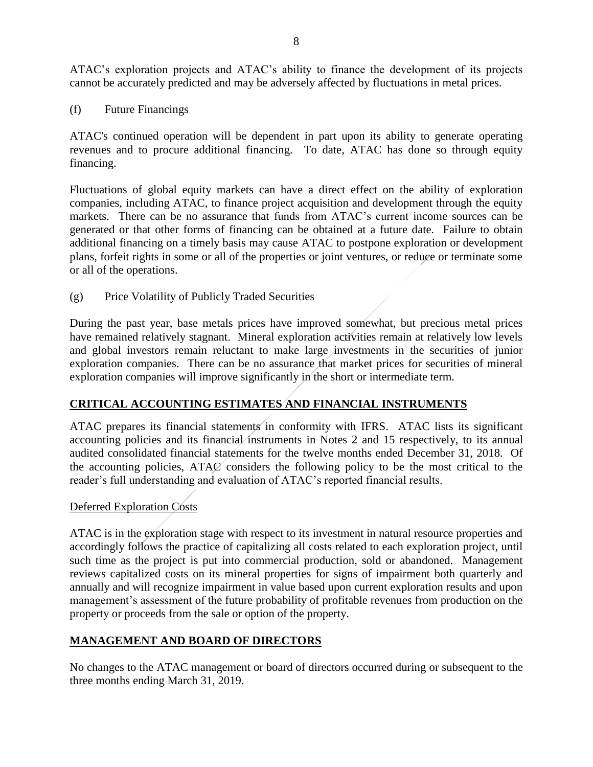ATAC's exploration projects and ATAC's ability to finance the development of its projects cannot be accurately predicted and may be adversely affected by fluctuations in metal prices.

(f) Future Financings

ATAC's continued operation will be dependent in part upon its ability to generate operating revenues and to procure additional financing. To date, ATAC has done so through equity financing.

Fluctuations of global equity markets can have a direct effect on the ability of exploration companies, including ATAC, to finance project acquisition and development through the equity markets. There can be no assurance that funds from ATAC's current income sources can be generated or that other forms of financing can be obtained at a future date. Failure to obtain additional financing on a timely basis may cause ATAC to postpone exploration or development plans, forfeit rights in some or all of the properties or joint ventures, or reduce or terminate some or all of the operations.

(g) Price Volatility of Publicly Traded Securities

During the past year, base metals prices have improved somewhat, but precious metal prices have remained relatively stagnant. Mineral exploration activities remain at relatively low levels and global investors remain reluctant to make large investments in the securities of junior exploration companies. There can be no assurance that market prices for securities of mineral exploration companies will improve significantly in the short or intermediate term.

# **CRITICAL ACCOUNTING ESTIMATES AND FINANCIAL INSTRUMENTS**

ATAC prepares its financial statements in conformity with IFRS. ATAC lists its significant accounting policies and its financial instruments in Notes 2 and 15 respectively, to its annual audited consolidated financial statements for the twelve months ended December 31, 2018. Of the accounting policies, ATAC considers the following policy to be the most critical to the reader's full understanding and evaluation of ATAC's reported financial results.

# Deferred Exploration Costs

ATAC is in the exploration stage with respect to its investment in natural resource properties and accordingly follows the practice of capitalizing all costs related to each exploration project, until such time as the project is put into commercial production, sold or abandoned. Management reviews capitalized costs on its mineral properties for signs of impairment both quarterly and annually and will recognize impairment in value based upon current exploration results and upon management's assessment of the future probability of profitable revenues from production on the property or proceeds from the sale or option of the property.

# **MANAGEMENT AND BOARD OF DIRECTORS**

No changes to the ATAC management or board of directors occurred during or subsequent to the three months ending March 31, 2019.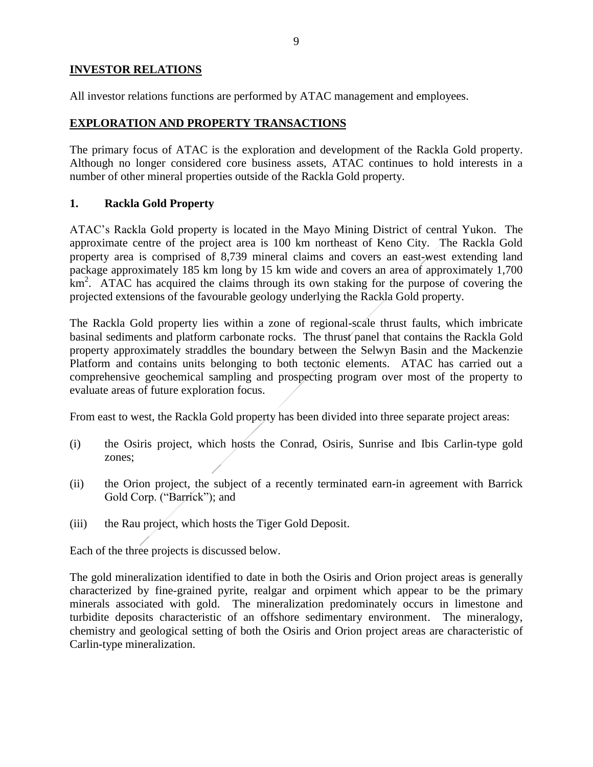# **INVESTOR RELATIONS**

All investor relations functions are performed by ATAC management and employees.

# **EXPLORATION AND PROPERTY TRANSACTIONS**

The primary focus of ATAC is the exploration and development of the Rackla Gold property. Although no longer considered core business assets, ATAC continues to hold interests in a number of other mineral properties outside of the Rackla Gold property.

### **1. Rackla Gold Property**

ATAC's Rackla Gold property is located in the Mayo Mining District of central Yukon. The approximate centre of the project area is 100 km northeast of Keno City. The Rackla Gold property area is comprised of 8,739 mineral claims and covers an east-west extending land package approximately 185 km long by 15 km wide and covers an area of approximately 1,700 km<sup>2</sup>. ATAC has acquired the claims through its own staking for the purpose of covering the projected extensions of the favourable geology underlying the Rackla Gold property.

The Rackla Gold property lies within a zone of regional-scale thrust faults, which imbricate basinal sediments and platform carbonate rocks. The thrust panel that contains the Rackla Gold property approximately straddles the boundary between the Selwyn Basin and the Mackenzie Platform and contains units belonging to both tectonic elements. ATAC has carried out a comprehensive geochemical sampling and prospecting program over most of the property to evaluate areas of future exploration focus.

From east to west, the Rackla Gold property has been divided into three separate project areas:

- (i) the Osiris project, which hosts the Conrad, Osiris, Sunrise and Ibis Carlin-type gold zones;
- (ii) the Orion project, the subject of a recently terminated earn-in agreement with Barrick Gold Corp. ("Barrick"); and
- (iii) the Rau project, which hosts the Tiger Gold Deposit.

Each of the three projects is discussed below.

The gold mineralization identified to date in both the Osiris and Orion project areas is generally characterized by fine-grained pyrite, realgar and orpiment which appear to be the primary minerals associated with gold. The mineralization predominately occurs in limestone and turbidite deposits characteristic of an offshore sedimentary environment. The mineralogy, chemistry and geological setting of both the Osiris and Orion project areas are characteristic of Carlin-type mineralization.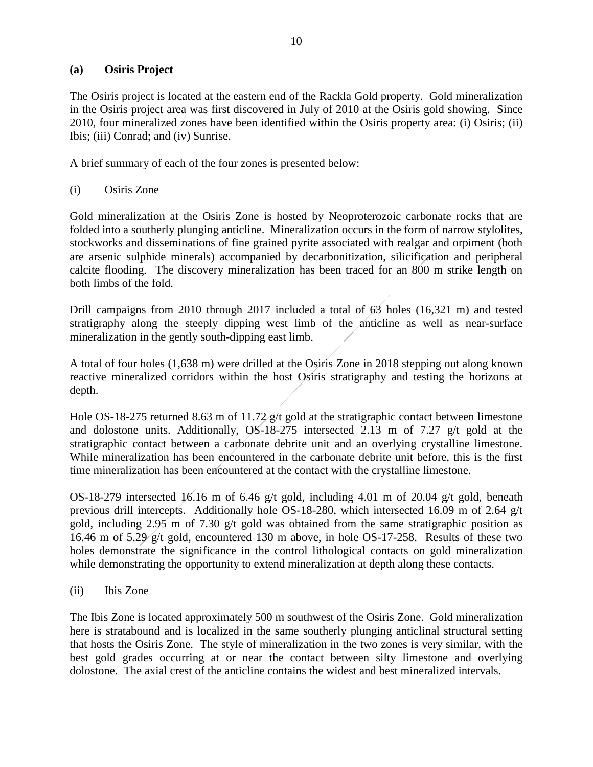### **(a) Osiris Project**

The Osiris project is located at the eastern end of the Rackla Gold property. Gold mineralization in the Osiris project area was first discovered in July of 2010 at the Osiris gold showing. Since 2010, four mineralized zones have been identified within the Osiris property area: (i) Osiris; (ii) Ibis; (iii) Conrad; and (iv) Sunrise.

A brief summary of each of the four zones is presented below:

# (i) Osiris Zone

Gold mineralization at the Osiris Zone is hosted by Neoproterozoic carbonate rocks that are folded into a southerly plunging anticline. Mineralization occurs in the form of narrow stylolites, stockworks and disseminations of fine grained pyrite associated with realgar and orpiment (both are arsenic sulphide minerals) accompanied by decarbonitization, silicification and peripheral calcite flooding. The discovery mineralization has been traced for an 800 m strike length on both limbs of the fold.

Drill campaigns from 2010 through 2017 included a total of 63 holes (16,321 m) and tested stratigraphy along the steeply dipping west limb of the anticline as well as near-surface mineralization in the gently south-dipping east limb.

A total of four holes (1,638 m) were drilled at the Osiris Zone in 2018 stepping out along known reactive mineralized corridors within the host Osiris stratigraphy and testing the horizons at depth.

Hole OS-18-275 returned 8.63 m of 11.72 g/t gold at the stratigraphic contact between limestone and dolostone units. Additionally, OS-18-275 intersected 2.13 m of 7.27 g/t gold at the stratigraphic contact between a carbonate debrite unit and an overlying crystalline limestone. While mineralization has been encountered in the carbonate debrite unit before, this is the first time mineralization has been encountered at the contact with the crystalline limestone.

OS-18-279 intersected 16.16 m of 6.46 g/t gold, including 4.01 m of 20.04 g/t gold, beneath previous drill intercepts. Additionally hole OS-18-280, which intersected 16.09 m of 2.64 g/t gold, including 2.95 m of 7.30 g/t gold was obtained from the same stratigraphic position as 16.46 m of 5.29 g/t gold, encountered 130 m above, in hole OS-17-258. Results of these two holes demonstrate the significance in the control lithological contacts on gold mineralization while demonstrating the opportunity to extend mineralization at depth along these contacts.

(ii) Ibis Zone

The Ibis Zone is located approximately 500 m southwest of the Osiris Zone. Gold mineralization here is stratabound and is localized in the same southerly plunging anticlinal structural setting that hosts the Osiris Zone. The style of mineralization in the two zones is very similar, with the best gold grades occurring at or near the contact between silty limestone and overlying dolostone. The axial crest of the anticline contains the widest and best mineralized intervals.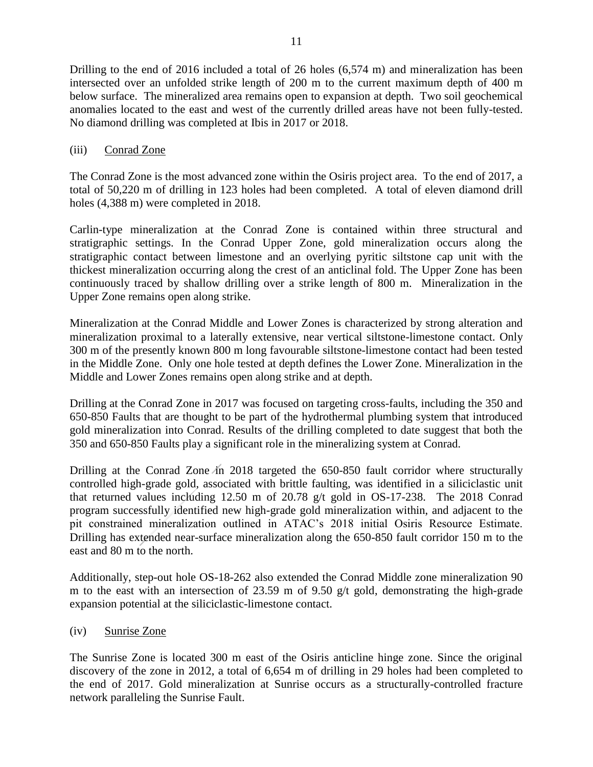Drilling to the end of 2016 included a total of 26 holes (6,574 m) and mineralization has been intersected over an unfolded strike length of 200 m to the current maximum depth of 400 m below surface. The mineralized area remains open to expansion at depth. Two soil geochemical anomalies located to the east and west of the currently drilled areas have not been fully-tested. No diamond drilling was completed at Ibis in 2017 or 2018.

### (iii) Conrad Zone

The Conrad Zone is the most advanced zone within the Osiris project area. To the end of 2017, a total of 50,220 m of drilling in 123 holes had been completed. A total of eleven diamond drill holes (4,388 m) were completed in 2018.

Carlin-type mineralization at the Conrad Zone is contained within three structural and stratigraphic settings. In the Conrad Upper Zone, gold mineralization occurs along the stratigraphic contact between limestone and an overlying pyritic siltstone cap unit with the thickest mineralization occurring along the crest of an anticlinal fold. The Upper Zone has been continuously traced by shallow drilling over a strike length of 800 m. Mineralization in the Upper Zone remains open along strike.

Mineralization at the Conrad Middle and Lower Zones is characterized by strong alteration and mineralization proximal to a laterally extensive, near vertical siltstone-limestone contact. Only 300 m of the presently known 800 m long favourable siltstone-limestone contact had been tested in the Middle Zone. Only one hole tested at depth defines the Lower Zone. Mineralization in the Middle and Lower Zones remains open along strike and at depth.

Drilling at the Conrad Zone in 2017 was focused on targeting cross-faults, including the 350 and 650-850 Faults that are thought to be part of the hydrothermal plumbing system that introduced gold mineralization into Conrad. Results of the drilling completed to date suggest that both the 350 and 650-850 Faults play a significant role in the mineralizing system at Conrad.

Drilling at the Conrad Zone in 2018 targeted the 650-850 fault corridor where structurally controlled high-grade gold, associated with brittle faulting, was identified in a siliciclastic unit that returned values including 12.50 m of 20.78 g/t gold in OS-17-238. The 2018 Conrad program successfully identified new high-grade gold mineralization within, and adjacent to the pit constrained mineralization outlined in ATAC's 2018 initial Osiris Resource Estimate. Drilling has extended near-surface mineralization along the 650-850 fault corridor 150 m to the east and 80 m to the north.

Additionally, step-out hole OS-18-262 also extended the Conrad Middle zone mineralization 90 m to the east with an intersection of 23.59 m of 9.50 g/t gold, demonstrating the high-grade expansion potential at the siliciclastic-limestone contact.

(iv) Sunrise Zone

The Sunrise Zone is located 300 m east of the Osiris anticline hinge zone. Since the original discovery of the zone in 2012, a total of 6,654 m of drilling in 29 holes had been completed to the end of 2017. Gold mineralization at Sunrise occurs as a structurally-controlled fracture network paralleling the Sunrise Fault.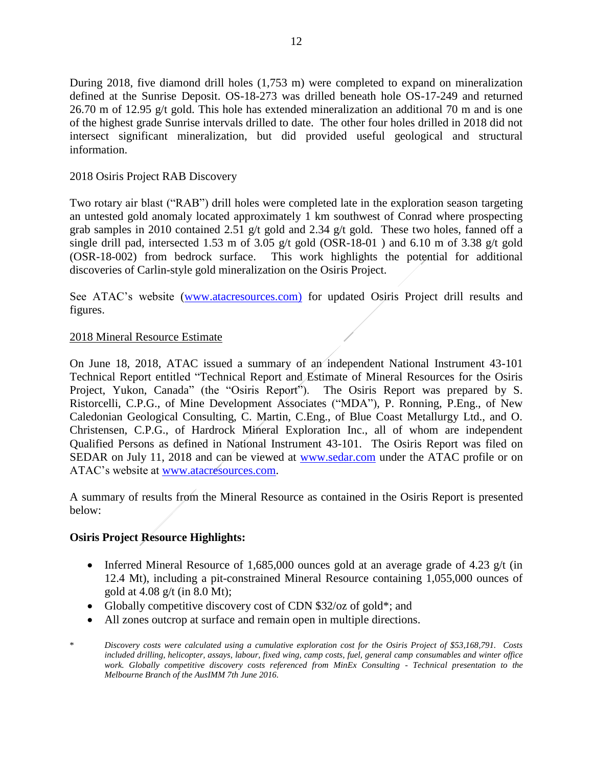During 2018, five diamond drill holes (1,753 m) were completed to expand on mineralization defined at the Sunrise Deposit. OS-18-273 was drilled beneath hole OS-17-249 and returned 26.70 m of 12.95 g/t gold. This hole has extended mineralization an additional 70 m and is one of the highest grade Sunrise intervals drilled to date. The other four holes drilled in 2018 did not intersect significant mineralization, but did provided useful geological and structural information.

### 2018 Osiris Project RAB Discovery

Two rotary air blast ("RAB") drill holes were completed late in the exploration season targeting an untested gold anomaly located approximately 1 km southwest of Conrad where prospecting grab samples in 2010 contained 2.51 g/t gold and 2.34 g/t gold. These two holes, fanned off a single drill pad, intersected 1.53 m of 3.05 g/t gold (OSR-18-01) and 6.10 m of 3.38 g/t gold (OSR-18-002) from bedrock surface. This work highlights the potential for additional discoveries of Carlin-style gold mineralization on the Osiris Project.

See ATAC's website [\(www.atacresources.com\)](http://www.atacresources.com/) for updated Osiris Project drill results and figures.

### 2018 Mineral Resource Estimate

On June 18, 2018, ATAC issued a summary of an independent National Instrument 43-101 Technical Report entitled ["Technical Report and Estimate of Mineral Resources for the Osiris](http://www.atacresources.com/assets/img/Osiris_Resource_Estimate_and_Technical_Report_2018.pdf)  [Project, Yukon, Canada"](http://www.atacresources.com/assets/img/Osiris_Resource_Estimate_and_Technical_Report_2018.pdf) (the "Osiris Report"). The Osiris Report was prepared by S. Ristorcelli, C.P.G., of Mine Development Associates ("MDA"), P. Ronning, P.Eng., of New Caledonian Geological Consulting, C. Martin, C.Eng., of Blue Coast Metallurgy Ltd., and O. Christensen, C.P.G., of Hardrock Mineral Exploration Inc., all of whom are independent Qualified Persons as defined in National Instrument 43-101. The Osiris Report was filed on SEDAR on July 11, 2018 and can be viewed at [www.sedar.com](http://www.sedar.com/) under the ATAC profile or on ATAC's website at [www.atacresources.com.](http://www.atacresources.com/)

A summary of results from the Mineral Resource as contained in the Osiris Report is presented below:

#### **Osiris Project Resource Highlights:**

- Inferred Mineral Resource of 1,685,000 ounces gold at an average grade of 4.23  $g/t$  (in 12.4 Mt), including a pit-constrained Mineral Resource containing 1,055,000 ounces of gold at 4.08 g/t (in 8.0 Mt);
- Globally competitive discovery cost of CDN \$32/oz of gold\*; and
- All zones outcrop at surface and remain open in multiple directions.
- \* *Discovery costs were calculated using a cumulative exploration cost for the Osiris Project of \$53,168,791. Costs included drilling, helicopter, assays, labour, fixed wing, camp costs, fuel, general camp consumables and winter office work. Globally competitive discovery costs referenced from MinEx Consulting - Technical presentation to the Melbourne Branch of the AusIMM 7th June 2016.*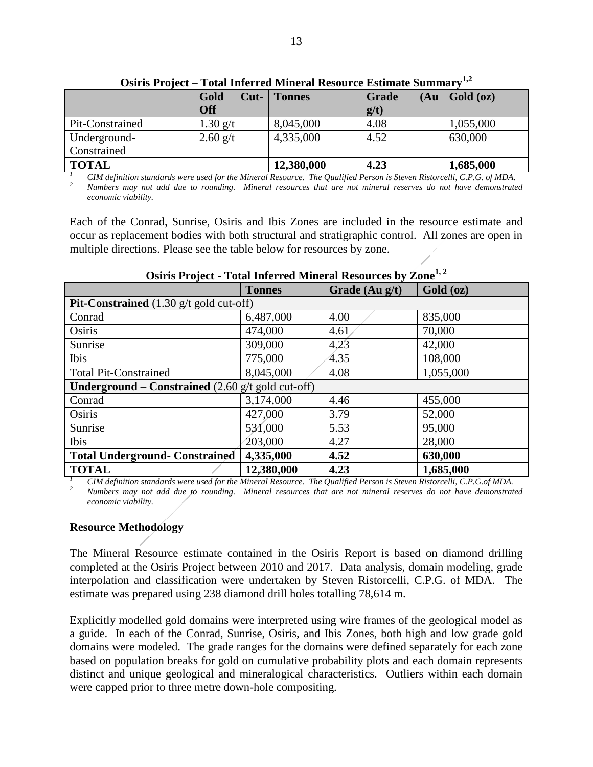| <u> USH IS I TOJUU – TUGH IMUHUU MIMUTAL IUSUULUU ESUMAIU DUMMIAI V</u> |                    |               |                      |           |
|-------------------------------------------------------------------------|--------------------|---------------|----------------------|-----------|
|                                                                         | Gold<br>$Cut-$     | <b>Tonnes</b> | (Au)<br><b>Grade</b> | Gold (oz) |
|                                                                         | <b>Off</b>         |               | g(t)                 |           |
| Pit-Constrained                                                         | $1.30 \text{ g/t}$ | 8,045,000     | 4.08                 | 1,055,000 |
| Underground-                                                            | $2.60$ g/t         | 4,335,000     | 4.52                 | 630,000   |
| Constrained                                                             |                    |               |                      |           |
| <b>TOTAL</b>                                                            |                    | 12,380,000    | 4.23                 | 1,685,000 |

**Osiris Project – Total Inferred Mineral Resource Estimate Summary1,2**

*<sup>1</sup> CIM definition standards were used for the Mineral Resource. The Qualified Person is Steven Ristorcelli, C.P.G. of MDA. <sup>2</sup> Numbers may not add due to rounding. Mineral resources that are not mineral reserves do not have demonstrated economic viability.* 

Each of the Conrad, Sunrise, Osiris and Ibis Zones are included in the resource estimate and occur as replacement bodies with both structural and stratigraphic control. All zones are open in multiple directions. Please see the table below for resources by zone.

|                                                                            | <b>Tonnes</b> | Grade (Au g/t) | Gold (oz) |  |  |
|----------------------------------------------------------------------------|---------------|----------------|-----------|--|--|
| <b>Pit-Constrained</b> $(1.30 \text{ g/t} \text{ gold cut-off})$           |               |                |           |  |  |
| Conrad                                                                     | 6,487,000     | 4.00           | 835,000   |  |  |
| Osiris                                                                     | 474,000       | 4.61           | 70,000    |  |  |
| Sunrise                                                                    | 309,000       | 4.23           | 42,000    |  |  |
| Ibis                                                                       | 775,000       | 4.35           | 108,000   |  |  |
| <b>Total Pit-Constrained</b>                                               | 8,045,000     | 4.08           | 1,055,000 |  |  |
| <b>Underground – Constrained</b> $(2.60 \text{ g/t} \text{ gold cut-off})$ |               |                |           |  |  |
| Conrad                                                                     | 3,174,000     | 4.46           | 455,000   |  |  |
| Osiris                                                                     | 427,000       | 3.79           | 52,000    |  |  |
| Sunrise                                                                    | 531,000       | 5.53           | 95,000    |  |  |
| Ibis                                                                       | 203,000       | 4.27           | 28,000    |  |  |
| <b>Total Underground- Constrained</b>                                      | 4,335,000     | 4.52           | 630,000   |  |  |
| <b>TOTAL</b>                                                               | 12,380,000    | 4.23           | 1,685,000 |  |  |

#### **Osiris Project - Total Inferred Mineral Resources by Zone1, 2**

*<sup>1</sup> CIM definition standards were used for the Mineral Resource. The Qualified Person is Steven Ristorcelli, C.P.G.of MDA. <sup>2</sup> Numbers may not add due to rounding. Mineral resources that are not mineral reserves do not have demonstrated economic viability.* 

#### **Resource Methodology**

The Mineral Resource estimate contained in the Osiris Report is based on diamond drilling completed at the Osiris Project between 2010 and 2017. Data analysis, domain modeling, grade interpolation and classification were undertaken by Steven Ristorcelli, C.P.G. of MDA. The estimate was prepared using 238 diamond drill holes totalling 78,614 m.

Explicitly modelled gold domains were interpreted using wire frames of the geological model as a guide. In each of the Conrad, Sunrise, Osiris, and Ibis Zones, both high and low grade gold domains were modeled. The grade ranges for the domains were defined separately for each zone based on population breaks for gold on cumulative probability plots and each domain represents distinct and unique geological and mineralogical characteristics. Outliers within each domain were capped prior to three metre down-hole compositing.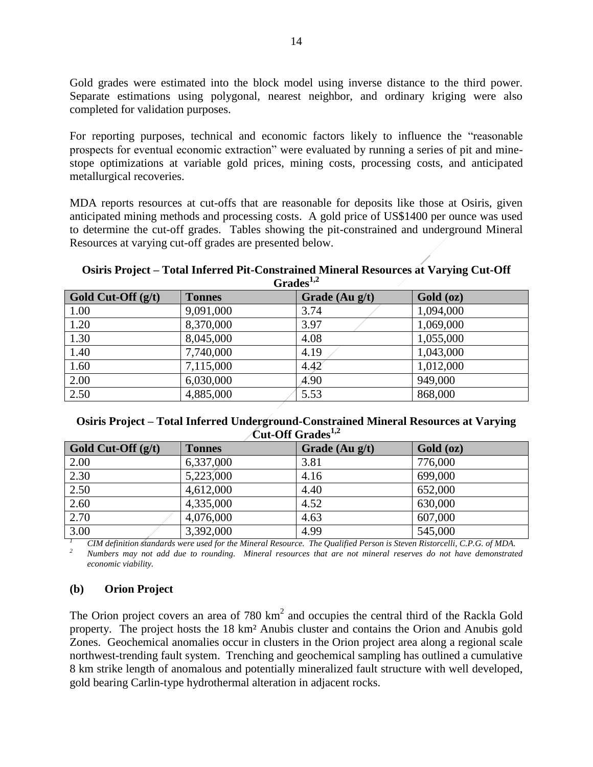Gold grades were estimated into the block model using inverse distance to the third power. Separate estimations using polygonal, nearest neighbor, and ordinary kriging were also completed for validation purposes.

For reporting purposes, technical and economic factors likely to influence the "reasonable prospects for eventual economic extraction" were evaluated by running a series of pit and minestope optimizations at variable gold prices, mining costs, processing costs, and anticipated metallurgical recoveries.

MDA reports resources at cut-offs that are reasonable for deposits like those at Osiris, given anticipated mining methods and processing costs. A gold price of US\$1400 per ounce was used to determine the cut-off grades. Tables showing the pit-constrained and underground Mineral Resources at varying cut-off grades are presented below.

#### **Osiris Project – Total Inferred Pit-Constrained Mineral Resources at Varying Cut-Off Grades1,2**

| Gold Cut-Off $(g/t)$ | <b>Tonnes</b> | Grade $(Au g/t)$ | Gold (oz) |
|----------------------|---------------|------------------|-----------|
| 1.00                 | 9,091,000     | 3.74             | 1,094,000 |
| 1.20                 | 8,370,000     | 3.97             | 1,069,000 |
| 1.30                 | 8,045,000     | 4.08             | 1,055,000 |
| 1.40                 | 7,740,000     | 4.19             | 1,043,000 |
| 1.60                 | 7,115,000     | 4.42             | 1,012,000 |
| 2.00                 | 6,030,000     | 4.90             | 949,000   |
| 2.50                 | 4,885,000     | 5.53             | 868,000   |

#### **Osiris Project – Total Inferred Underground-Constrained Mineral Resources at Varying Cut-Off Grades1,2**

| Gold Cut-Off $(g/t)$ | <b>Tonnes</b> | Grade $(Au g/t)$ | Gold (oz) |
|----------------------|---------------|------------------|-----------|
| 2.00                 | 6,337,000     | 3.81             | 776,000   |
| 2.30                 | 5,223,000     | 4.16             | 699,000   |
| 2.50                 | 4,612,000     | 4.40             | 652,000   |
| 2.60                 | 4,335,000     | 4.52             | 630,000   |
| 2.70                 | 4,076,000     | 4.63             | 607,000   |
| 3.00                 | 3,392,000     | 4.99             | 545,000   |

*<sup>1</sup> CIM definition standards were used for the Mineral Resource. The Qualified Person is Steven Ristorcelli, C.P.G. of MDA. <sup>2</sup> Numbers may not add due to rounding. Mineral resources that are not mineral reserves do not have demonstrated economic viability.* 

# **(b) Orion Project**

The Orion project covers an area of 780  $km^2$  and occupies the central third of the Rackla Gold property. The project hosts the 18 km² Anubis cluster and contains the Orion and Anubis gold Zones. Geochemical anomalies occur in clusters in the Orion project area along a regional scale northwest-trending fault system. Trenching and geochemical sampling has outlined a cumulative 8 km strike length of anomalous and potentially mineralized fault structure with well developed, gold bearing Carlin-type hydrothermal alteration in adjacent rocks.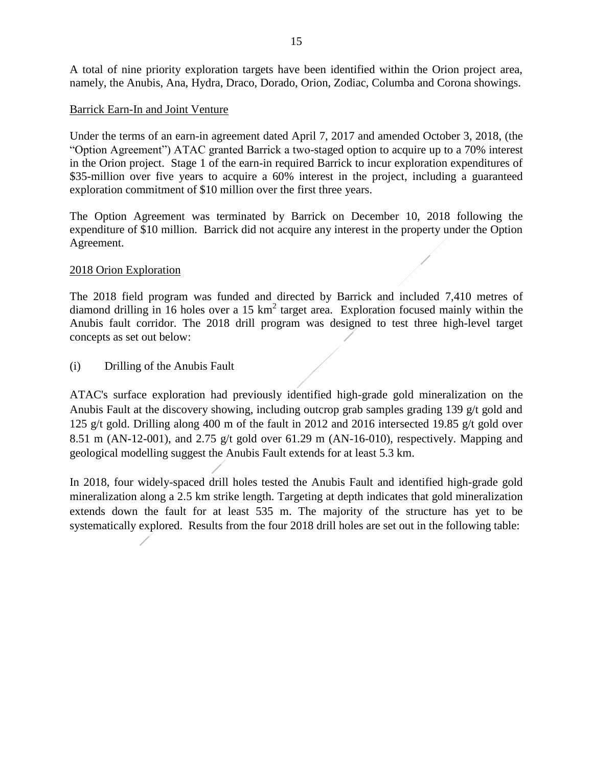A total of nine priority exploration targets have been identified within the Orion project area, namely, the Anubis, Ana, Hydra, Draco, Dorado, Orion, Zodiac, Columba and Corona showings.

### Barrick Earn-In and Joint Venture

Under the terms of an earn-in agreement dated April 7, 2017 and amended October 3, 2018, (the "Option Agreement") ATAC granted Barrick a two-staged option to acquire up to a 70% interest in the Orion project. Stage 1 of the earn-in required Barrick to incur exploration expenditures of \$35-million over five years to acquire a 60% interest in the project, including a guaranteed exploration commitment of \$10 million over the first three years.

The Option Agreement was terminated by Barrick on December 10, 2018 following the expenditure of \$10 million. Barrick did not acquire any interest in the property under the Option Agreement.

#### 2018 Orion Exploration

The 2018 field program was funded and directed by Barrick and included 7,410 metres of diamond drilling in 16 holes over a 15  $km^2$  target area. Exploration focused mainly within the Anubis fault corridor. The 2018 drill program was designed to test three high-level target concepts as set out below:

(i) Drilling of the Anubis Fault

ATAC's surface exploration had previously identified high-grade gold mineralization on the Anubis Fault at the discovery showing, including outcrop grab samples grading 139 g/t gold and 125 g/t gold. Drilling along 400 m of the fault in 2012 and 2016 intersected 19.85 g/t gold over 8.51 m (AN-12-001), and 2.75 g/t gold over 61.29 m (AN-16-010), respectively. Mapping and geological modelling suggest the Anubis Fault extends for at least 5.3 km.

In 2018, four widely-spaced drill holes tested the Anubis Fault and identified high-grade gold mineralization along a 2.5 km strike length. Targeting at depth indicates that gold mineralization extends down the fault for at least 535 m. The majority of the structure has yet to be systematically explored. Results from the four 2018 drill holes are set out in the following table: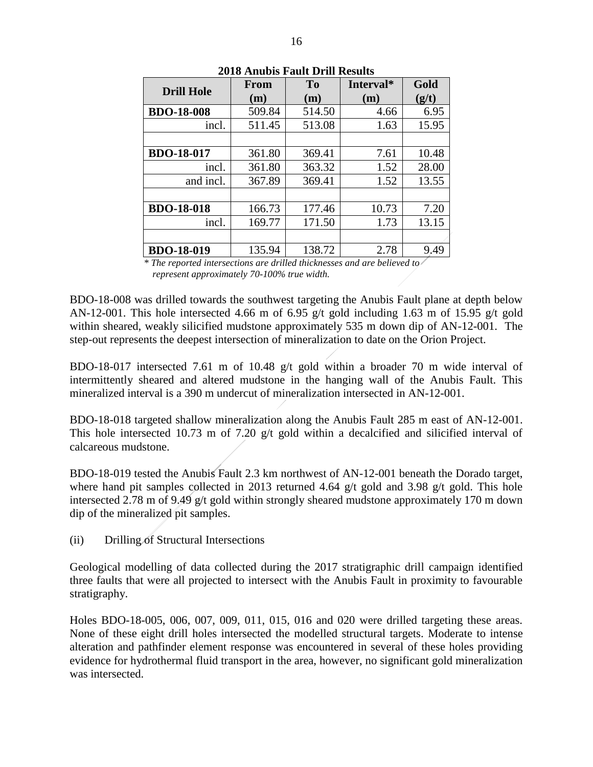| <b>Drill Hole</b> | <b>From</b> | To     | Interval* | Gold  |
|-------------------|-------------|--------|-----------|-------|
|                   | (m)         | (m)    | (m)       | (g/t) |
| <b>BDO-18-008</b> | 509.84      | 514.50 | 4.66      | 6.95  |
| incl.             | 511.45      | 513.08 | 1.63      | 15.95 |
|                   |             |        |           |       |
| <b>BDO-18-017</b> | 361.80      | 369.41 | 7.61      | 10.48 |
| incl.             | 361.80      | 363.32 | 1.52      | 28.00 |
| and incl.         | 367.89      | 369.41 | 1.52      | 13.55 |
|                   |             |        |           |       |
| <b>BDO-18-018</b> | 166.73      | 177.46 | 10.73     | 7.20  |
| incl.             | 169.77      | 171.50 | 1.73      | 13.15 |
|                   |             |        |           |       |
| <b>BDO-18-019</b> | 135.94      | 138.72 | 2.78      | 9.49  |

**2018 Anubis Fault Drill Results**

*\* The reported intersections are drilled thicknesses and are believed to represent approximately 70-100% true width.*

BDO-18-008 was drilled towards the southwest targeting the Anubis Fault plane at depth below AN-12-001. This hole intersected 4.66 m of 6.95 g/t gold including 1.63 m of 15.95 g/t gold within sheared, weakly silicified mudstone approximately 535 m down dip of AN-12-001. The step-out represents the deepest intersection of mineralization to date on the Orion Project.

BDO-18-017 intersected 7.61 m of 10.48 g/t gold within a broader 70 m wide interval of intermittently sheared and altered mudstone in the hanging wall of the Anubis Fault. This mineralized interval is a 390 m undercut of mineralization intersected in AN-12-001.

BDO-18-018 targeted shallow mineralization along the Anubis Fault 285 m east of AN-12-001. This hole intersected 10.73 m of 7.20 g/t gold within a decalcified and silicified interval of calcareous mudstone.

BDO-18-019 tested the Anubis Fault 2.3 km northwest of AN-12-001 beneath the Dorado target, where hand pit samples collected in 2013 returned 4.64 g/t gold and 3.98 g/t gold. This hole intersected 2.78 m of 9.49 g/t gold within strongly sheared mudstone approximately 170 m down dip of the mineralized pit samples.

(ii) Drilling of Structural Intersections

Geological modelling of data collected during the 2017 stratigraphic drill campaign identified three faults that were all projected to intersect with the Anubis Fault in proximity to favourable stratigraphy.

Holes BDO-18-005, 006, 007, 009, 011, 015, 016 and 020 were drilled targeting these areas. None of these eight drill holes intersected the modelled structural targets. Moderate to intense alteration and pathfinder element response was encountered in several of these holes providing evidence for hydrothermal fluid transport in the area, however, no significant gold mineralization was intersected.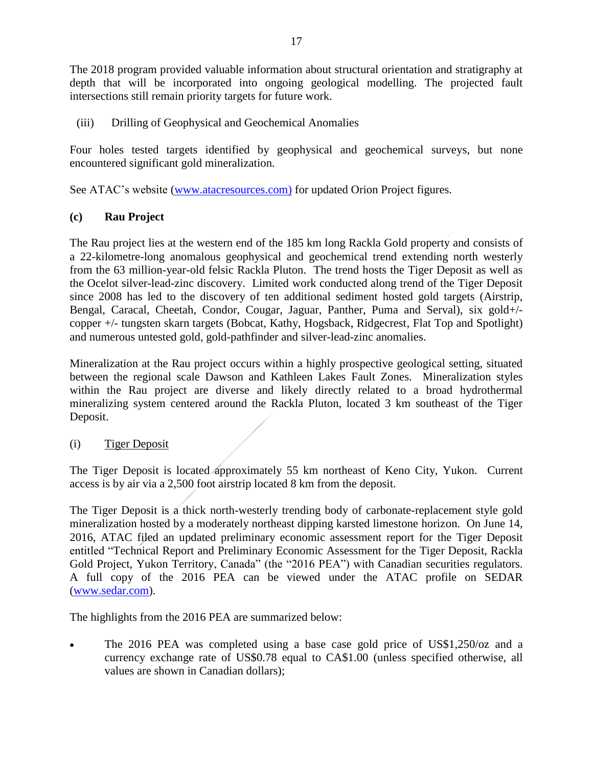The 2018 program provided valuable information about structural orientation and stratigraphy at depth that will be incorporated into ongoing geological modelling. The projected fault intersections still remain priority targets for future work.

(iii) Drilling of Geophysical and Geochemical Anomalies

Four holes tested targets identified by geophysical and geochemical surveys, but none encountered significant gold mineralization.

See ATAC's website [\(www.atacresources.com\)](http://www.atacresources.com/) for updated Orion Project figures.

# **(c) Rau Project**

The [Rau project](http://www.atacresources.com/projects/rackla/rau-trend) lies at the western end of the 185 km long Rackla Gold property and consists of a 22-kilometre-long anomalous geophysical and geochemical trend extending north westerly from the 63 million-year-old felsic Rackla Pluton. The trend hosts the Tiger Deposit as well as the Ocelot silver-lead-zinc discovery. Limited work conducted along trend of the Tiger Deposit since 2008 has led to the discovery of ten additional sediment hosted gold targets (Airstrip, Bengal, Caracal, Cheetah, Condor, Cougar, Jaguar, Panther, Puma and Serval), six gold+/ copper +/- tungsten skarn targets (Bobcat, Kathy, Hogsback, Ridgecrest, Flat Top and Spotlight) and numerous untested gold, gold-pathfinder and silver-lead-zinc anomalies.

Mineralization at the Rau project occurs within a highly prospective geological setting, situated between the regional scale Dawson and Kathleen Lakes Fault Zones. Mineralization styles within the Rau project are diverse and likely directly related to a broad hydrothermal mineralizing system centered around the Rackla Pluton, located 3 km southeast of the Tiger Deposit.

# (i) Tiger Deposit

The Tiger Deposit is located approximately 55 km northeast of Keno City, Yukon. Current access is by air via a 2,500 foot airstrip located 8 km from the deposit.

The Tiger Deposit is a thick north-westerly trending body of carbonate-replacement style gold mineralization hosted by a moderately northeast dipping karsted limestone horizon. On June 14, 2016, ATAC filed an updated preliminary economic assessment report for the Tiger Deposit entitled "Technical Report and Preliminary Economic Assessment for the Tiger Deposit, Rackla Gold Project, Yukon Territory, Canada" (the "2016 PEA") with Canadian securities regulators. A full copy of the 2016 PEA can be viewed under the ATAC profile on SEDAR [\(www.sedar.com\)](http://www.sedar.com/).

The highlights from the 2016 PEA are summarized below:

• The 2016 PEA was completed using a base case gold price of US\$1,250/oz and a currency exchange rate of US\$0.78 equal to CA\$1.00 (unless specified otherwise, all values are shown in Canadian dollars);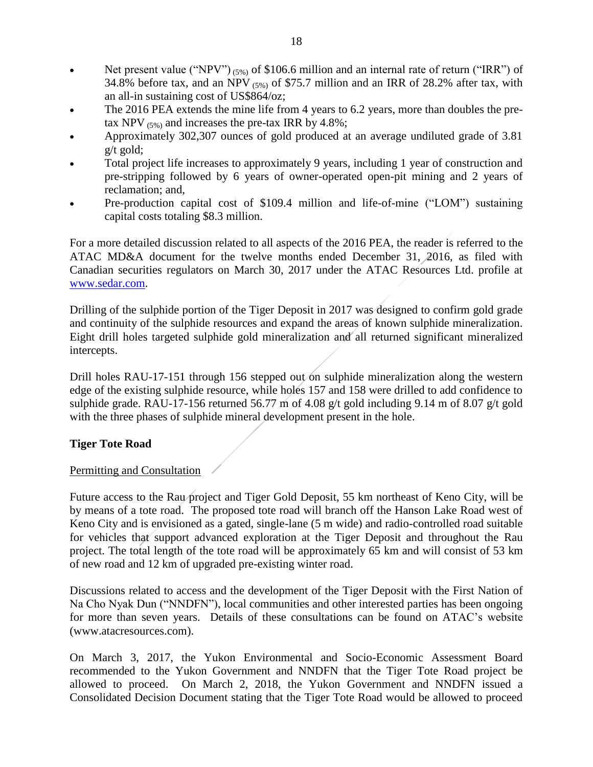- Net present value ("NPV")  $(5\%)$  of \$106.6 million and an internal rate of return ("IRR") of 34.8% before tax, and an NPV  $_{(5\%)}$  of \$75.7 million and an IRR of 28.2% after tax, with an all-in sustaining cost of US\$864/oz;
- The 2016 PEA extends the mine life from 4 years to 6.2 years, more than doubles the pretax NPV  $(5\%)$  and increases the pre-tax IRR by 4.8%;
- Approximately 302,307 ounces of gold produced at an average undiluted grade of 3.81 g/t gold;
- Total project life increases to approximately 9 years, including 1 year of construction and pre-stripping followed by 6 years of owner-operated open-pit mining and 2 years of reclamation; and,
- Pre-production capital cost of \$109.4 million and life-of-mine ("LOM") sustaining capital costs totaling \$8.3 million.

For a more detailed discussion related to all aspects of the 2016 PEA, the reader is referred to the ATAC MD&A document for the twelve months ended December 31, 2016, as filed with Canadian securities regulators on March 30, 2017 under the ATAC Resources Ltd. profile at [www.sedar.com.](http://www.sedar.com/)

Drilling of the sulphide portion of the Tiger Deposit in 2017 was designed to confirm gold grade and continuity of the sulphide resources and expand the areas of known sulphide mineralization. Eight drill holes targeted sulphide gold mineralization and all returned significant mineralized intercepts.

Drill holes RAU-17-151 through 156 stepped out on sulphide mineralization along the western edge of the existing sulphide resource, while holes 157 and 158 were drilled to add confidence to sulphide grade. RAU-17-156 returned 56.77 m of 4.08 g/t gold including 9.14 m of 8.07 g/t gold with the three phases of sulphide mineral development present in the hole.

# **Tiger Tote Road**

# Permitting and Consultation

Future access to the Rau project and Tiger Gold Deposit, 55 km northeast of Keno City, will be by means of a tote road. The proposed tote road will branch off the Hanson Lake Road west of Keno City and is envisioned as a gated, single-lane (5 m wide) and radio-controlled road suitable for vehicles that support advanced exploration at the Tiger Deposit and throughout the Rau project. The total length of the tote road will be approximately 65 km and will consist of 53 km of new road and 12 km of upgraded pre-existing winter road.

Discussions related to access and the development of the Tiger Deposit with the First Nation of Na Cho Nyak Dun ("NNDFN"), local communities and other interested parties has been ongoing for more than seven years. Details of these consultations can be found on ATAC's website (www.atacresources.com).

On March 3, 2017, the Yukon Environmental and Socio-Economic Assessment Board recommended to the Yukon Government and NNDFN that the Tiger Tote Road project be allowed to proceed. On March 2, 2018, the Yukon Government and NNDFN issued a Consolidated Decision Document stating that the Tiger Tote Road would be allowed to proceed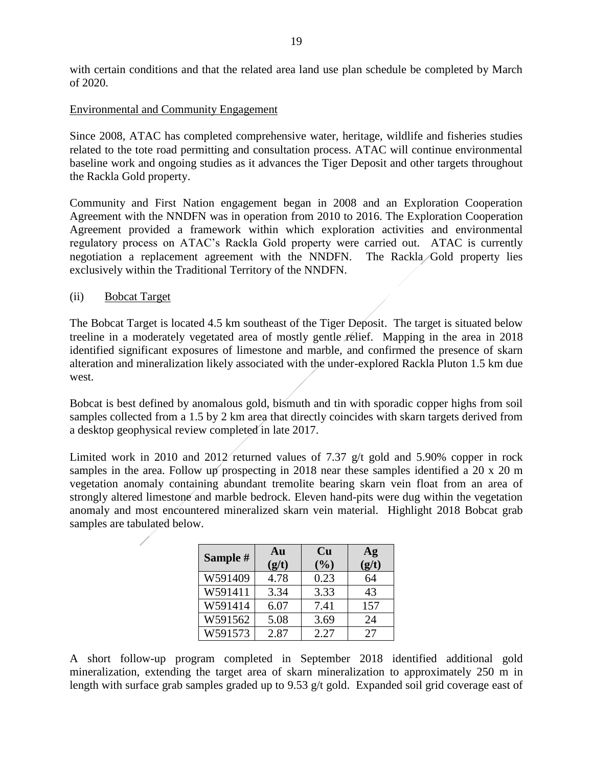with certain conditions and that the related area land use plan schedule be completed by March of 2020.

#### Environmental and Community Engagement

Since 2008, ATAC has completed comprehensive water, heritage, wildlife and fisheries studies related to the tote road permitting and consultation process. ATAC will continue environmental baseline work and ongoing studies as it advances the Tiger Deposit and other targets throughout the Rackla Gold property.

Community and First Nation engagement began in 2008 and an Exploration Cooperation Agreement with the NNDFN was in operation from 2010 to 2016. The Exploration Cooperation Agreement provided a framework within which exploration activities and environmental regulatory process on ATAC's Rackla Gold property were carried out. ATAC is currently negotiation a replacement agreement with the NNDFN. The Rackla Gold property lies exclusively within the Traditional Territory of the NNDFN.

#### (ii) Bobcat Target

The Bobcat Target is located 4.5 km southeast of the Tiger Deposit. The target is situated below treeline in a moderately vegetated area of mostly gentle relief. Mapping in the area in 2018 identified significant exposures of limestone and marble, and confirmed the presence of skarn alteration and mineralization likely associated with the under-explored Rackla Pluton 1.5 km due west.

Bobcat is best defined by anomalous gold, bismuth and tin with sporadic copper highs from soil samples collected from a 1.5 by 2 km area that directly coincides with skarn targets derived from a desktop geophysical review completed in late 2017.

Limited work in 2010 and 2012 returned values of 7.37 g/t gold and 5.90% copper in rock samples in the area. Follow up prospecting in 2018 near these samples identified a 20 x 20 m vegetation anomaly containing abundant tremolite bearing skarn vein float from an area of strongly altered limestone and marble bedrock. Eleven hand-pits were dug within the vegetation anomaly and most encountered mineralized skarn vein material. Highlight 2018 Bobcat grab samples are tabulated below.

| Sample # | Au<br>(g/t) | <b>Cu</b><br>(%) | Ag<br>(g/t) |
|----------|-------------|------------------|-------------|
| W591409  | 4.78        | 0.23             | 64          |
| W591411  | 3.34        | 3.33             | 43          |
| W591414  | 6.07        | 7.41             | 157         |
| W591562  | 5.08        | 3.69             | 24          |
| W591573  | 2.87        | 2.27             | 27          |

A short follow-up program completed in September 2018 identified additional gold mineralization, extending the target area of skarn mineralization to approximately 250 m in length with surface grab samples graded up to 9.53 g/t gold. Expanded soil grid coverage east of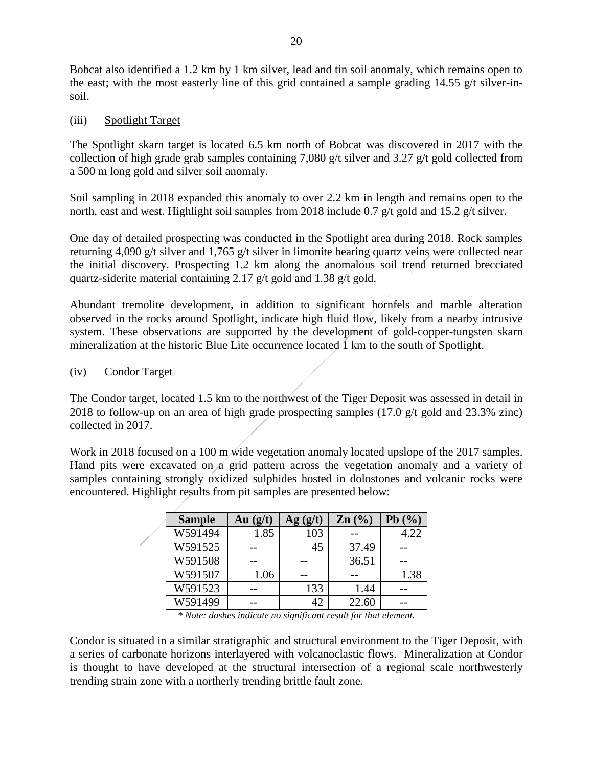Bobcat also identified a 1.2 km by 1 km silver, lead and tin soil anomaly, which remains open to the east; with the most easterly line of this grid contained a sample grading 14.55 g/t silver-insoil.

(iii) Spotlight Target

The Spotlight skarn target is located 6.5 km north of Bobcat was discovered in 2017 with the collection of high grade grab samples containing 7,080 g/t silver and 3.27 g/t gold collected from a 500 m long gold and silver soil anomaly.

Soil sampling in 2018 expanded this anomaly to over 2.2 km in length and remains open to the north, east and west. Highlight soil samples from 2018 include 0.7 g/t gold and 15.2 g/t silver.

One day of detailed prospecting was conducted in the Spotlight area during 2018. Rock samples returning 4,090 g/t silver and 1,765 g/t silver in limonite bearing quartz veins were collected near the initial discovery. Prospecting 1.2 km along the anomalous soil trend returned brecciated quartz-siderite material containing 2.17 g/t gold and 1.38 g/t gold.

Abundant tremolite development, in addition to significant hornfels and marble alteration observed in the rocks around Spotlight, indicate high fluid flow, likely from a nearby intrusive system. These observations are supported by the development of gold-copper-tungsten skarn mineralization at the historic Blue Lite occurrence located 1 km to the south of Spotlight.

(iv) Condor Target

The Condor target, located 1.5 km to the northwest of the Tiger Deposit was assessed in detail in 2018 to follow-up on an area of high grade prospecting samples (17.0 g/t gold and 23.3% zinc) collected in 2017.

Work in 2018 focused on a 100 m wide vegetation anomaly located upslope of the 2017 samples. Hand pits were excavated on a grid pattern across the vegetation anomaly and a variety of samples containing strongly oxidized sulphides hosted in dolostones and volcanic rocks were encountered. Highlight results from pit samples are presented below:

| <b>Sample</b> | Au $(g/t)$ | Ag( g/t) | $\text{Zn}$ $\left(\frac{0}{0}\right)$ | Pb(%) |
|---------------|------------|----------|----------------------------------------|-------|
| W591494       | 1.85       | 103      |                                        | 4.22  |
| W591525       |            | 45       | 37.49                                  |       |
| W591508       |            |          | 36.51                                  |       |
| W591507       | 1.06       |          |                                        | 1.38  |
| W591523       |            | 133      | 1.44                                   |       |
| W591499       |            |          | 22.60                                  |       |

*\* Note: dashes indicate no significant result for that element.*

Condor is situated in a similar stratigraphic and structural environment to the Tiger Deposit, with a series of carbonate horizons interlayered with volcanoclastic flows. Mineralization at Condor is thought to have developed at the structural intersection of a regional scale northwesterly trending strain zone with a northerly trending brittle fault zone.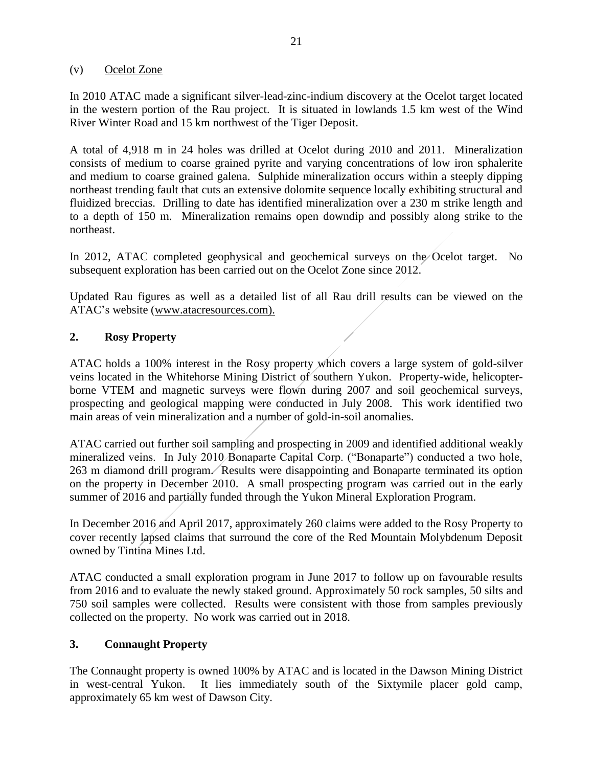#### (v) Ocelot Zone

In 2010 ATAC made a significant silver-lead-zinc-indium discovery at the Ocelot target located in the western portion of the Rau project. It is situated in lowlands 1.5 km west of the Wind River Winter Road and 15 km northwest of the Tiger Deposit.

A total of 4,918 m in 24 holes was drilled at Ocelot during 2010 and 2011. Mineralization consists of medium to coarse grained pyrite and varying concentrations of low iron sphalerite and medium to coarse grained galena. Sulphide mineralization occurs within a steeply dipping northeast trending fault that cuts an extensive dolomite sequence locally exhibiting structural and fluidized breccias. Drilling to date has identified mineralization over a 230 m strike length and to a depth of 150 m. Mineralization remains open downdip and possibly along strike to the northeast.

In 2012, ATAC completed geophysical and geochemical surveys on the Ocelot target. No subsequent exploration has been carried out on the Ocelot Zone since 2012.

Updated Rau figures as well as a detailed list of all Rau drill results can be viewed on the ATAC's website [\(www.atacresources.com\).](http://www.atacresources.com)./)

### **2. Rosy Property**

ATAC holds a 100% interest in the Rosy property which covers a large system of gold-silver veins located in the Whitehorse Mining District of southern Yukon. Property-wide, helicopterborne VTEM and magnetic surveys were flown during 2007 and soil geochemical surveys, prospecting and geological mapping were conducted in July 2008. This work identified two main areas of vein mineralization and a number of gold-in-soil anomalies.

ATAC carried out further soil sampling and prospecting in 2009 and identified additional weakly mineralized veins. In July 2010 Bonaparte Capital Corp. ("Bonaparte") conducted a two hole, 263 m diamond drill program. Results were disappointing and Bonaparte terminated its option on the property in December 2010. A small prospecting program was carried out in the early summer of 2016 and partially funded through the Yukon Mineral Exploration Program.

In December 2016 and April 2017, approximately 260 claims were added to the Rosy Property to cover recently lapsed claims that surround the core of the Red Mountain Molybdenum Deposit owned by Tintina Mines Ltd.

ATAC conducted a small exploration program in June 2017 to follow up on favourable results from 2016 and to evaluate the newly staked ground. Approximately 50 rock samples, 50 silts and 750 soil samples were collected. Results were consistent with those from samples previously collected on the property. No work was carried out in 2018.

# **3. Connaught Property**

The Connaught property is owned 100% by ATAC and is located in the Dawson Mining District in west-central Yukon. It lies immediately south of the Sixtymile placer gold camp, approximately 65 km west of Dawson City.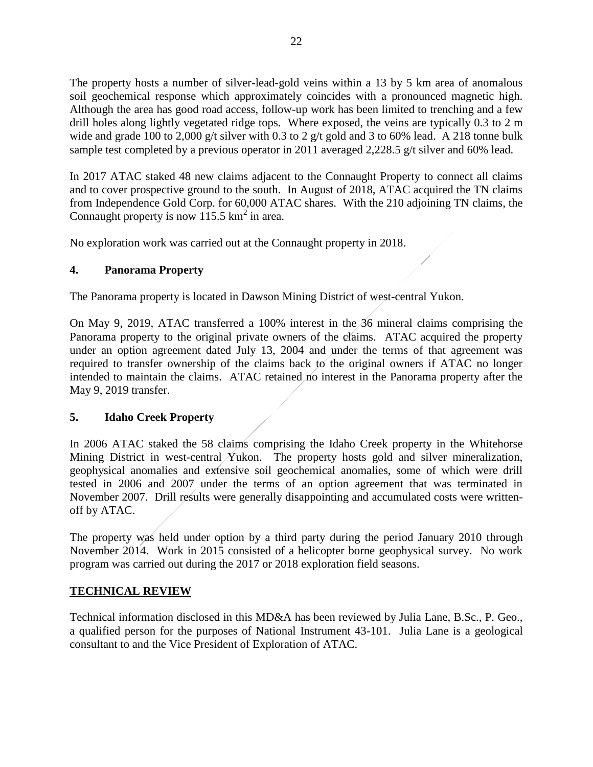The property hosts a number of silver-lead-gold veins within a 13 by 5 km area of anomalous soil geochemical response which approximately coincides with a pronounced magnetic high. Although the area has good road access, follow-up work has been limited to trenching and a few drill holes along lightly vegetated ridge tops. Where exposed, the veins are typically 0.3 to 2 m wide and grade 100 to 2,000 g/t silver with 0.3 to 2 g/t gold and 3 to 60% lead. A 218 tonne bulk sample test completed by a previous operator in 2011 averaged 2,228.5 g/t silver and 60% lead.

In 2017 ATAC staked 48 new claims adjacent to the Connaught Property to connect all claims and to cover prospective ground to the south. In August of 2018, ATAC acquired the TN claims from Independence Gold Corp. for 60,000 ATAC shares. With the 210 adjoining TN claims, the Connaught property is now  $115.5 \text{ km}^2$  in area.

No exploration work was carried out at the Connaught property in 2018.

# **4. Panorama Property**

The Panorama property is located in Dawson Mining District of west-central Yukon.

On May 9, 2019, ATAC transferred a 100% interest in the 36 mineral claims comprising the Panorama property to the original private owners of the claims. ATAC acquired the property under an option agreement dated July 13, 2004 and under the terms of that agreement was required to transfer ownership of the claims back to the original owners if ATAC no longer intended to maintain the claims. ATAC retained no interest in the Panorama property after the May 9, 2019 transfer.

#### **5. Idaho Creek Property**

In 2006 ATAC staked the 58 claims comprising the Idaho Creek property in the Whitehorse Mining District in west-central Yukon. The property hosts gold and silver mineralization, geophysical anomalies and extensive soil geochemical anomalies, some of which were drill tested in 2006 and 2007 under the terms of an option agreement that was terminated in November 2007. Drill results were generally disappointing and accumulated costs were writtenoff by ATAC.

The property was held under option by a third party during the period January 2010 through November 2014. Work in 2015 consisted of a helicopter borne geophysical survey. No work program was carried out during the 2017 or 2018 exploration field seasons.

# **TECHNICAL REVIEW**

Technical information disclosed in this MD&A has been reviewed by Julia Lane, B.Sc., P. Geo., a qualified person for the purposes of National Instrument 43-101. Julia Lane is a geological consultant to and the Vice President of Exploration of ATAC.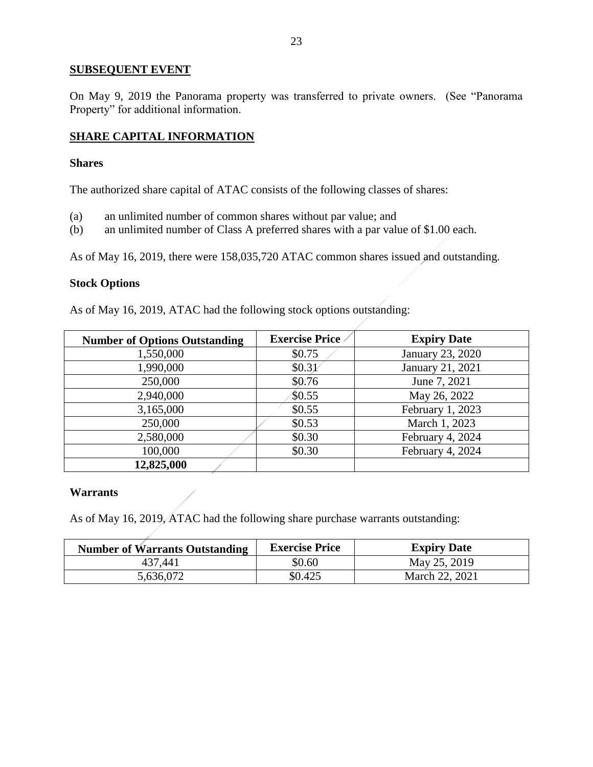### **SUBSEQUENT EVENT**

On May 9, 2019 the Panorama property was transferred to private owners. (See "Panorama Property" for additional information.

# **SHARE CAPITAL INFORMATION**

#### **Shares**

The authorized share capital of ATAC consists of the following classes of shares:

- (a) an unlimited number of common shares without par value; and
- (b) an unlimited number of Class A preferred shares with a par value of \$1.00 each.

As of May 16, 2019, there were 158,035,720 ATAC common shares issued and outstanding.

### **Stock Options**

As of May 16, 2019, ATAC had the following stock options outstanding:

| <b>Number of Options Outstanding</b> | <b>Exercise Price</b> | <b>Expiry Date</b> |
|--------------------------------------|-----------------------|--------------------|
| 1,550,000                            | \$0.75                | January 23, 2020   |
| 1,990,000                            | \$0.31                | January 21, 2021   |
| 250,000                              | \$0.76                | June 7, 2021       |
| 2,940,000                            | \$0.55                | May 26, 2022       |
| 3,165,000                            | \$0.55                | February 1, 2023   |
| 250,000                              | \$0.53                | March 1, 2023      |
| 2,580,000                            | \$0.30                | February 4, 2024   |
| 100,000                              | \$0.30                | February 4, 2024   |
| 12,825,000                           |                       |                    |

#### **Warrants**

As of May 16, 2019, ATAC had the following share purchase warrants outstanding:

| <b>Number of Warrants Outstanding</b> | <b>Exercise Price</b> | <b>Expiry Date</b> |
|---------------------------------------|-----------------------|--------------------|
| 437,441                               | \$0.60                | May 25, 2019       |
| 5,636,072                             | \$0.425               | March 22, 2021     |